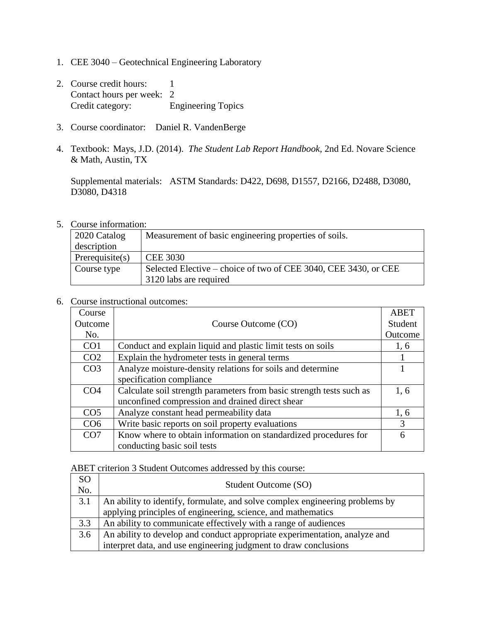- 1. CEE 3040 Geotechnical Engineering Laboratory
- 2. Course credit hours: 1 Contact hours per week: 2 Credit category: Engineering Topics
- 3. Course coordinator: Daniel R. VandenBerge
- 4. Textbook: Mays, J.D. (2014). *The Student Lab Report Handbook*, 2nd Ed. Novare Science & Math, Austin, TX

Supplemental materials: ASTM Standards: D422, D698, D1557, D2166, D2488, D3080, D3080, D4318

5. Course information:

| 2020 Catalog       | Measurement of basic engineering properties of soils.           |  |  |
|--------------------|-----------------------------------------------------------------|--|--|
| description        |                                                                 |  |  |
| Prerequisite $(s)$ | <b>CEE 3030</b>                                                 |  |  |
| Course type        | Selected Elective – choice of two of CEE 3040, CEE 3430, or CEE |  |  |
|                    | 3120 labs are required                                          |  |  |

6. Course instructional outcomes:

| Course          |                                                                      | <b>ABET</b> |
|-----------------|----------------------------------------------------------------------|-------------|
| Outcome         | Course Outcome (CO)                                                  | Student     |
| No.             |                                                                      | Outcome     |
| CO <sub>1</sub> | Conduct and explain liquid and plastic limit tests on soils          | 1, 6        |
| CO <sub>2</sub> | Explain the hydrometer tests in general terms                        |             |
| CO <sub>3</sub> | Analyze moisture-density relations for soils and determine           |             |
|                 | specification compliance                                             |             |
| CO <sub>4</sub> | Calculate soil strength parameters from basic strength tests such as | 1, 6        |
|                 | unconfined compression and drained direct shear                      |             |
| CO <sub>5</sub> | Analyze constant head permeability data                              | 1,6         |
| CO <sub>6</sub> | Write basic reports on soil property evaluations                     | 3           |
| CO <sub>7</sub> | Know where to obtain information on standardized procedures for      | 6           |
|                 | conducting basic soil tests                                          |             |

ABET criterion 3 Student Outcomes addressed by this course:

| <sub>SO</sub><br>No. | Student Outcome (SO)                                                         |
|----------------------|------------------------------------------------------------------------------|
| 3.1                  | An ability to identify, formulate, and solve complex engineering problems by |
|                      | applying principles of engineering, science, and mathematics                 |
| 3.3                  | An ability to communicate effectively with a range of audiences              |
| 3.6                  | An ability to develop and conduct appropriate experimentation, analyze and   |
|                      | interpret data, and use engineering judgment to draw conclusions             |